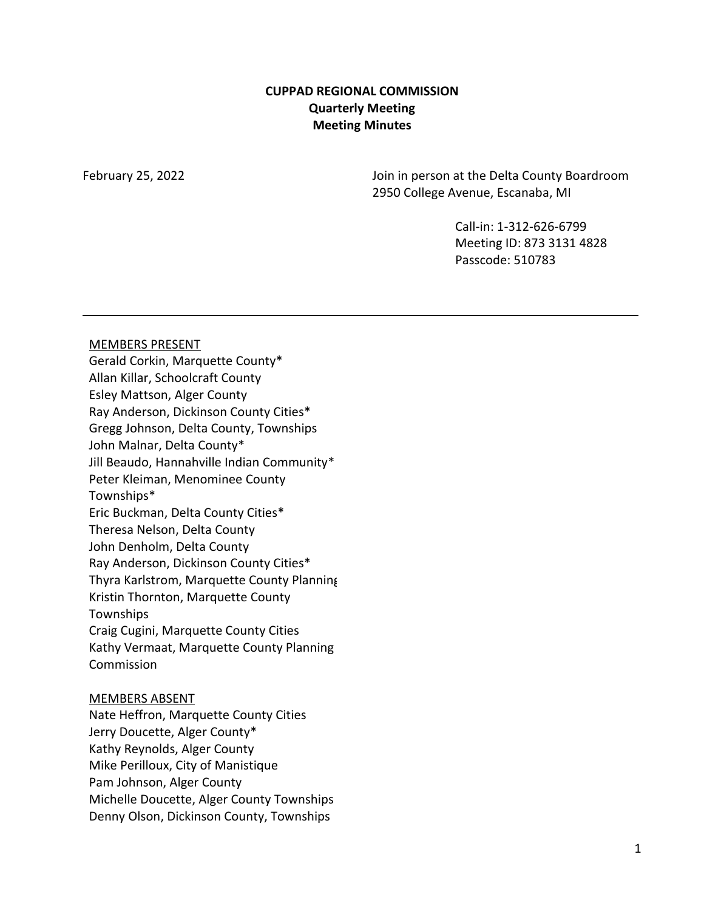### **CUPPAD REGIONAL COMMISSION Quarterly Meeting Meeting Minutes**

February 25, 2022 Join in person at the Delta County Boardroom 2950 College Avenue, Escanaba, MI

> Call-in: 1-312-626-6799 Meeting ID: 873 3131 4828 Passcode: 510783

#### MEMBERS PRESENT

Gerald Corkin, Marquette County\* Allan Killar, Schoolcraft County Esley Mattson, Alger County Ray Anderson, Dickinson County Cities\* Gregg Johnson, Delta County, Townships John Malnar, Delta County\* Jill Beaudo, Hannahville Indian Community\* Peter Kleiman, Menominee County Townships\* Eric Buckman, Delta County Cities\* Theresa Nelson, Delta County John Denholm, Delta County Ray Anderson, Dickinson County Cities\* Thyra Karlstrom, Marquette County Planning Kristin Thornton, Marquette County Townships Craig Cugini, Marquette County Cities Kathy Vermaat, Marquette County Planning **Commission** 

#### MEMBERS ABSENT

Nate Heffron, Marquette County Cities Jerry Doucette, Alger County\* Kathy Reynolds, Alger County Mike Perilloux, City of Manistique Pam Johnson, Alger County Michelle Doucette, Alger County Townships Denny Olson, Dickinson County, Townships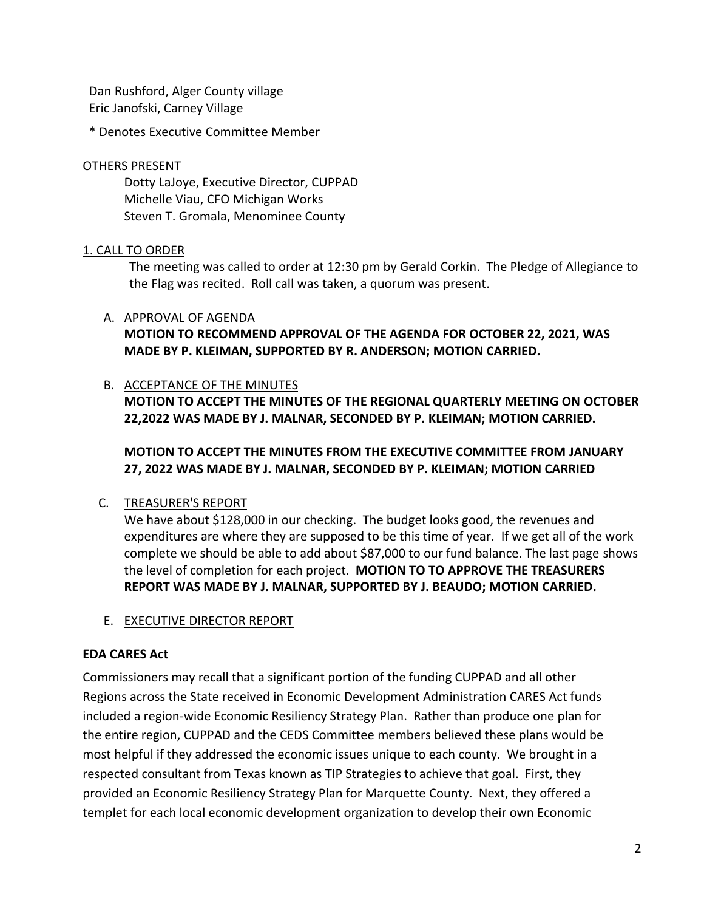Dan Rushford, Alger County village Eric Janofski, Carney Village

\* Denotes Executive Committee Member

### OTHERS PRESENT

Dotty LaJoye, Executive Director, CUPPAD Michelle Viau, CFO Michigan Works Steven T. Gromala, Menominee County

### 1. CALL TO ORDER

The meeting was called to order at 12:30 pm by Gerald Corkin. The Pledge of Allegiance to the Flag was recited. Roll call was taken, a quorum was present.

### A. APPROVAL OF AGENDA

**MOTION TO RECOMMEND APPROVAL OF THE AGENDA FOR OCTOBER 22, 2021, WAS MADE BY P. KLEIMAN, SUPPORTED BY R. ANDERSON; MOTION CARRIED.**

### B. ACCEPTANCE OF THE MINUTES

**MOTION TO ACCEPT THE MINUTES OF THE REGIONAL QUARTERLY MEETING ON OCTOBER 22,2022 WAS MADE BY J. MALNAR, SECONDED BY P. KLEIMAN; MOTION CARRIED.**

# **MOTION TO ACCEPT THE MINUTES FROM THE EXECUTIVE COMMITTEE FROM JANUARY 27, 2022 WAS MADE BY J. MALNAR, SECONDED BY P. KLEIMAN; MOTION CARRIED**

# C. TREASURER'S REPORT

We have about \$128,000 in our checking. The budget looks good, the revenues and expenditures are where they are supposed to be this time of year. If we get all of the work complete we should be able to add about \$87,000 to our fund balance. The last page shows the level of completion for each project. **MOTION TO TO APPROVE THE TREASURERS REPORT WAS MADE BY J. MALNAR, SUPPORTED BY J. BEAUDO; MOTION CARRIED.**

E. EXECUTIVE DIRECTOR REPORT

#### **EDA CARES Act**

Commissioners may recall that a significant portion of the funding CUPPAD and all other Regions across the State received in Economic Development Administration CARES Act funds included a region-wide Economic Resiliency Strategy Plan. Rather than produce one plan for the entire region, CUPPAD and the CEDS Committee members believed these plans would be most helpful if they addressed the economic issues unique to each county. We brought in a respected consultant from Texas known as TIP Strategies to achieve that goal. First, they provided an Economic Resiliency Strategy Plan for Marquette County. Next, they offered a templet for each local economic development organization to develop their own Economic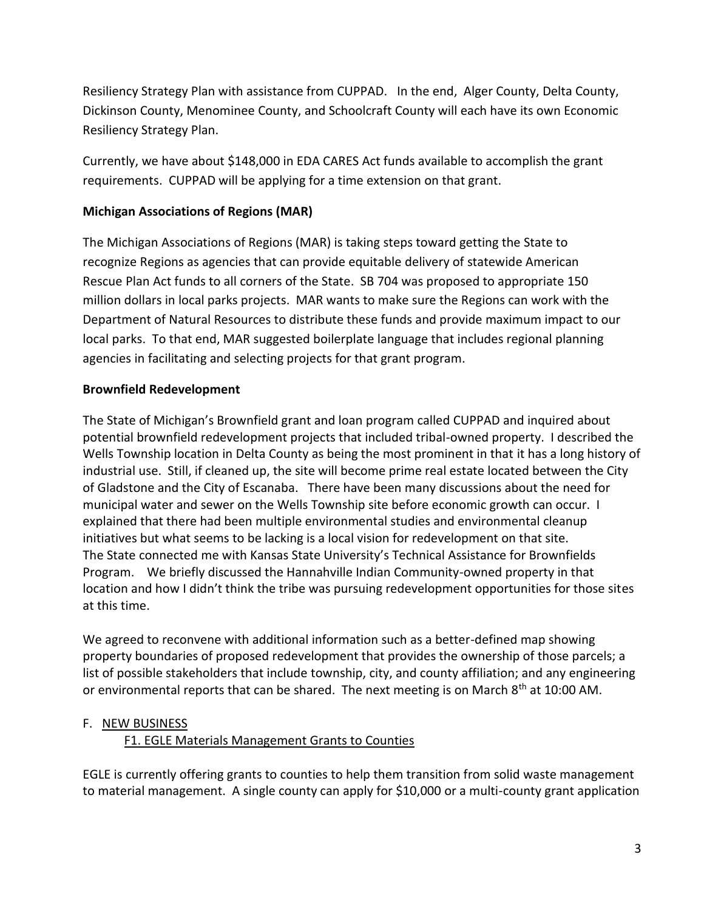Resiliency Strategy Plan with assistance from CUPPAD. In the end, Alger County, Delta County, Dickinson County, Menominee County, and Schoolcraft County will each have its own Economic Resiliency Strategy Plan.

Currently, we have about \$148,000 in EDA CARES Act funds available to accomplish the grant requirements. CUPPAD will be applying for a time extension on that grant.

# **Michigan Associations of Regions (MAR)**

The Michigan Associations of Regions (MAR) is taking steps toward getting the State to recognize Regions as agencies that can provide equitable delivery of statewide American Rescue Plan Act funds to all corners of the State. SB 704 was proposed to appropriate 150 million dollars in local parks projects. MAR wants to make sure the Regions can work with the Department of Natural Resources to distribute these funds and provide maximum impact to our local parks. To that end, MAR suggested boilerplate language that includes regional planning agencies in facilitating and selecting projects for that grant program.

# **Brownfield Redevelopment**

The State of Michigan's Brownfield grant and loan program called CUPPAD and inquired about potential brownfield redevelopment projects that included tribal-owned property. I described the Wells Township location in Delta County as being the most prominent in that it has a long history of industrial use. Still, if cleaned up, the site will become prime real estate located between the City of Gladstone and the City of Escanaba. There have been many discussions about the need for municipal water and sewer on the Wells Township site before economic growth can occur. I explained that there had been multiple environmental studies and environmental cleanup initiatives but what seems to be lacking is a local vision for redevelopment on that site. The State connected me with Kansas State University's Technical Assistance for Brownfields Program. We briefly discussed the Hannahville Indian Community-owned property in that location and how I didn't think the tribe was pursuing redevelopment opportunities for those sites at this time.

We agreed to reconvene with additional information such as a better-defined map showing property boundaries of proposed redevelopment that provides the ownership of those parcels; a list of possible stakeholders that include township, city, and county affiliation; and any engineering or environmental reports that can be shared. The next meeting is on March  $8<sup>th</sup>$  at 10:00 AM.

# F. NEW BUSINESS

# F1. EGLE Materials Management Grants to Counties

EGLE is currently offering grants to counties to help them transition from solid waste management to material management. A single county can apply for \$10,000 or a multi-county grant application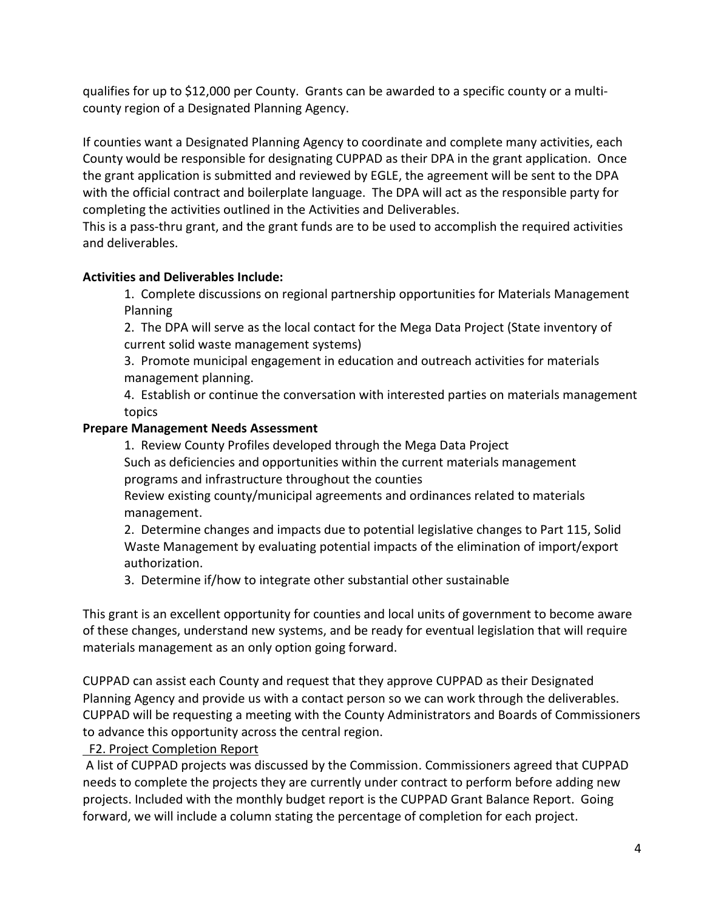qualifies for up to \$12,000 per County. Grants can be awarded to a specific county or a multicounty region of a Designated Planning Agency.

If counties want a Designated Planning Agency to coordinate and complete many activities, each County would be responsible for designating CUPPAD as their DPA in the grant application. Once the grant application is submitted and reviewed by EGLE, the agreement will be sent to the DPA with the official contract and boilerplate language. The DPA will act as the responsible party for completing the activities outlined in the Activities and Deliverables.

This is a pass-thru grant, and the grant funds are to be used to accomplish the required activities and deliverables.

# **Activities and Deliverables Include:**

1. Complete discussions on regional partnership opportunities for Materials Management Planning

2. The DPA will serve as the local contact for the Mega Data Project (State inventory of current solid waste management systems)

3. Promote municipal engagement in education and outreach activities for materials management planning.

4. Establish or continue the conversation with interested parties on materials management topics

# **Prepare Management Needs Assessment**

1. Review County Profiles developed through the Mega Data Project Such as deficiencies and opportunities within the current materials management programs and infrastructure throughout the counties

Review existing county/municipal agreements and ordinances related to materials management.

2. Determine changes and impacts due to potential legislative changes to Part 115, Solid Waste Management by evaluating potential impacts of the elimination of import/export authorization.

3. Determine if/how to integrate other substantial other sustainable

This grant is an excellent opportunity for counties and local units of government to become aware of these changes, understand new systems, and be ready for eventual legislation that will require materials management as an only option going forward.

CUPPAD can assist each County and request that they approve CUPPAD as their Designated Planning Agency and provide us with a contact person so we can work through the deliverables. CUPPAD will be requesting a meeting with the County Administrators and Boards of Commissioners to advance this opportunity across the central region.

# F2. Project Completion Report

A list of CUPPAD projects was discussed by the Commission. Commissioners agreed that CUPPAD needs to complete the projects they are currently under contract to perform before adding new projects. Included with the monthly budget report is the CUPPAD Grant Balance Report. Going forward, we will include a column stating the percentage of completion for each project.